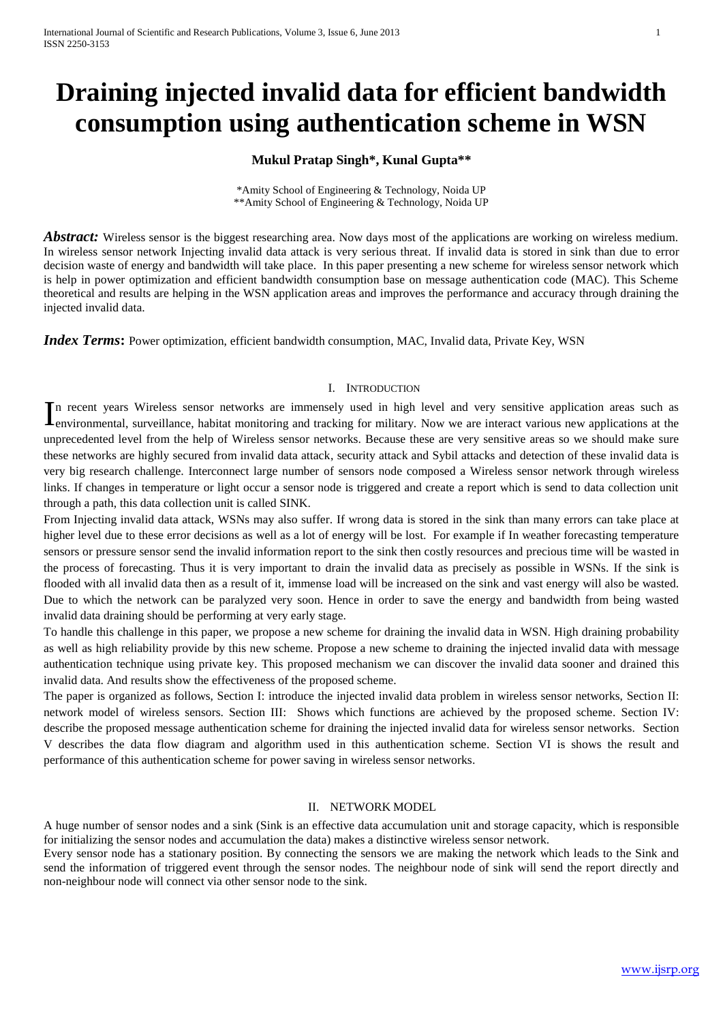# **Draining injected invalid data for efficient bandwidth consumption using authentication scheme in WSN**

## **Mukul Pratap Singh\*, Kunal Gupta\*\***

\*Amity School of Engineering & Technology, Noida UP \*\*Amity School of Engineering & Technology, Noida UP

*Abstract:* Wireless sensor is the biggest researching area. Now days most of the applications are working on wireless medium. In wireless sensor network Injecting invalid data attack is very serious threat. If invalid data is stored in sink than due to error decision waste of energy and bandwidth will take place. In this paper presenting a new scheme for wireless sensor network which is help in power optimization and efficient bandwidth consumption base on message authentication code (MAC). This Scheme theoretical and results are helping in the WSN application areas and improves the performance and accuracy through draining the injected invalid data.

*Index Terms*: Power optimization, efficient bandwidth consumption, MAC, Invalid data, Private Key, WSN

#### I. INTRODUCTION

In recent years Wireless sensor networks are immensely used in high level and very sensitive application areas such as environmental, surveillance, habitat monitoring and tracking for military. Now we are interact various environmental, surveillance, habitat monitoring and tracking for military. Now we are interact various new applications at the unprecedented level from the help of Wireless sensor networks. Because these are very sensitive areas so we should make sure these networks are highly secured from invalid data attack, security attack and Sybil attacks and detection of these invalid data is very big research challenge. Interconnect large number of sensors node composed a Wireless sensor network through wireless links. If changes in temperature or light occur a sensor node is triggered and create a report which is send to data collection unit through a path, this data collection unit is called SINK.

From Injecting invalid data attack, WSNs may also suffer. If wrong data is stored in the sink than many errors can take place at higher level due to these error decisions as well as a lot of energy will be lost. For example if In weather forecasting temperature sensors or pressure sensor send the invalid information report to the sink then costly resources and precious time will be wasted in the process of forecasting. Thus it is very important to drain the invalid data as precisely as possible in WSNs. If the sink is flooded with all invalid data then as a result of it, immense load will be increased on the sink and vast energy will also be wasted. Due to which the network can be paralyzed very soon. Hence in order to save the energy and bandwidth from being wasted invalid data draining should be performing at very early stage.

To handle this challenge in this paper, we propose a new scheme for draining the invalid data in WSN. High draining probability as well as high reliability provide by this new scheme. Propose a new scheme to draining the injected invalid data with message authentication technique using private key. This proposed mechanism we can discover the invalid data sooner and drained this invalid data. And results show the effectiveness of the proposed scheme.

The paper is organized as follows, Section I: introduce the injected invalid data problem in wireless sensor networks, Section II: network model of wireless sensors. Section III: Shows which functions are achieved by the proposed scheme. Section IV: describe the proposed message authentication scheme for draining the injected invalid data for wireless sensor networks. Section V describes the data flow diagram and algorithm used in this authentication scheme. Section VI is shows the result and performance of this authentication scheme for power saving in wireless sensor networks.

#### II. NETWORK MODEL

A huge number of sensor nodes and a sink (Sink is an effective data accumulation unit and storage capacity, which is responsible for initializing the sensor nodes and accumulation the data) makes a distinctive wireless sensor network.

Every sensor node has a stationary position. By connecting the sensors we are making the network which leads to the Sink and send the information of triggered event through the sensor nodes. The neighbour node of sink will send the report directly and non-neighbour node will connect via other sensor node to the sink.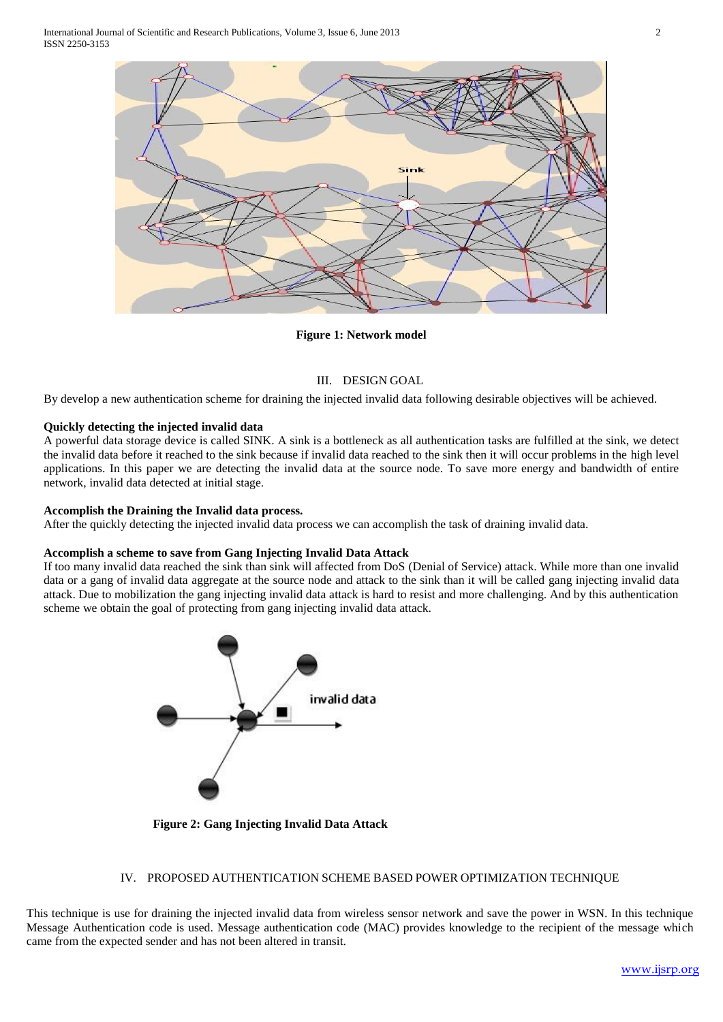

**Figure 1: Network model**

## III. DESIGN GOAL

By develop a new authentication scheme for draining the injected invalid data following desirable objectives will be achieved.

## **Quickly detecting the injected invalid data**

A powerful data storage device is called SINK. A sink is a bottleneck as all authentication tasks are fulfilled at the sink, we detect the invalid data before it reached to the sink because if invalid data reached to the sink then it will occur problems in the high level applications. In this paper we are detecting the invalid data at the source node. To save more energy and bandwidth of entire network, invalid data detected at initial stage.

#### **Accomplish the Draining the Invalid data process.**

After the quickly detecting the injected invalid data process we can accomplish the task of draining invalid data.

## **Accomplish a scheme to save from Gang Injecting Invalid Data Attack**

If too many invalid data reached the sink than sink will affected from DoS (Denial of Service) attack. While more than one invalid data or a gang of invalid data aggregate at the source node and attack to the sink than it will be called gang injecting invalid data attack. Due to mobilization the gang injecting invalid data attack is hard to resist and more challenging. And by this authentication scheme we obtain the goal of protecting from gang injecting invalid data attack.



 **Figure 2: Gang Injecting Invalid Data Attack**

## IV. PROPOSED AUTHENTICATION SCHEME BASED POWER OPTIMIZATION TECHNIQUE

This technique is use for draining the injected invalid data from wireless sensor network and save the power in WSN. In this technique Message Authentication code is used. Message authentication code (MAC) provides knowledge to the recipient of the message which came from the expected sender and has not been altered in transit.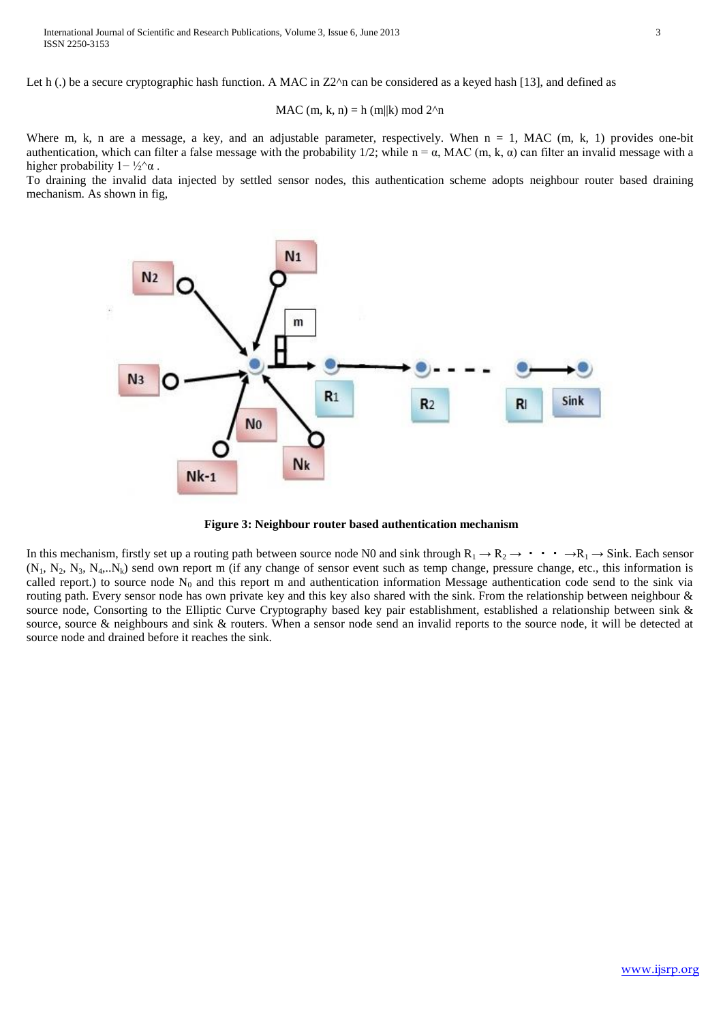Let h (.) be a secure cryptographic hash function. A MAC in  $Z2^{\text{A}}$  can be considered as a keyed hash [13], and defined as

MAC (m, k, n) = h (m||k) mod 
$$
2^n
$$
n

Where m, k, n are a message, a key, and an adjustable parameter, respectively. When  $n = 1$ , MAC (m, k, 1) provides one-bit authentication, which can filter a false message with the probability 1/2; while  $n = \alpha$ , MAC (m, k,  $\alpha$ ) can filter an invalid message with a higher probability  $1 - \frac{1}{2} \alpha$ .

To draining the invalid data injected by settled sensor nodes, this authentication scheme adopts neighbour router based draining mechanism. As shown in fig,



**Figure 3: Neighbour router based authentication mechanism**

In this mechanism, firstly set up a routing path between source node N0 and sink through  $R_1 \rightarrow R_2 \rightarrow \cdots \rightarrow R_l \rightarrow$  Sink. Each sensor  $(N_1, N_2, N_3, N_4, N_6)$  send own report m (if any change of sensor event such as temp change, pressure change, etc., this information is called report.) to source node  $N_0$  and this report m and authentication information Message authentication code send to the sink via routing path. Every sensor node has own private key and this key also shared with the sink. From the relationship between neighbour & source node, Consorting to the Elliptic Curve Cryptography based key pair establishment, established a relationship between sink & source, source & neighbours and sink & routers. When a sensor node send an invalid reports to the source node, it will be detected at source node and drained before it reaches the sink.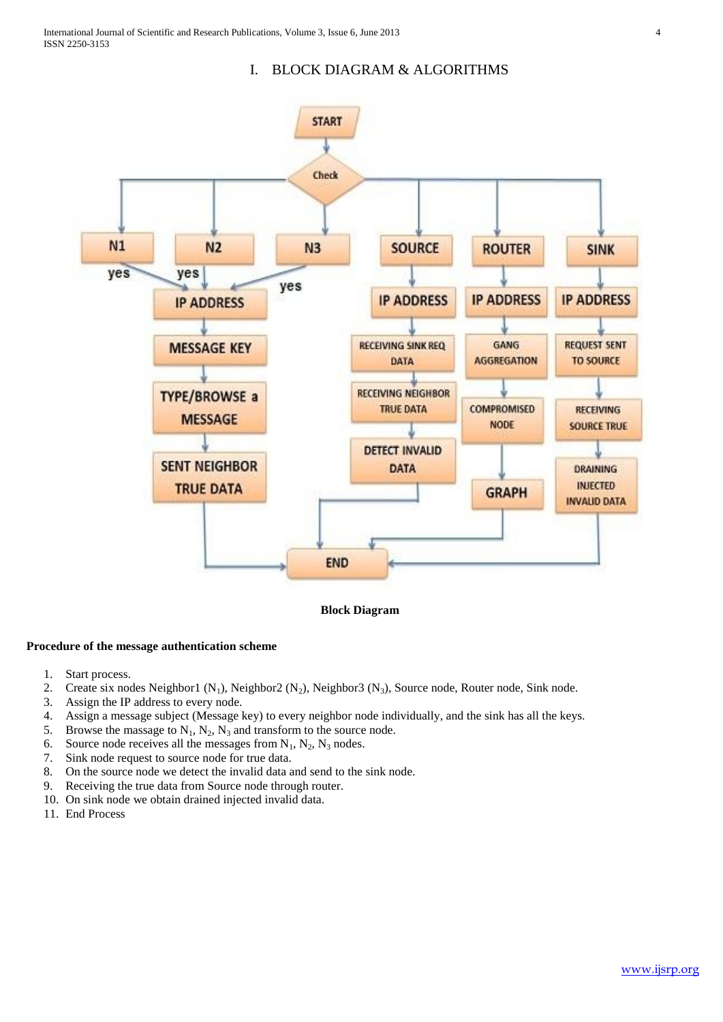# I. BLOCK DIAGRAM & ALGORITHMS



**Block Diagram**

## **Procedure of the message authentication scheme**

- 1. Start process.
- 2. Create six nodes Neighbor1  $(N_1)$ , Neighbor2  $(N_2)$ , Neighbor3  $(N_3)$ , Source node, Router node, Sink node.
- 3. Assign the IP address to every node.
- 4. Assign a message subject (Message key) to every neighbor node individually, and the sink has all the keys.
- 5. Browse the massage to  $N_1$ ,  $N_2$ ,  $N_3$  and transform to the source node.
- 6. Source node receives all the messages from  $N_1$ ,  $N_2$ ,  $N_3$  nodes.
- 7. Sink node request to source node for true data.
- 8. On the source node we detect the invalid data and send to the sink node.
- 9. Receiving the true data from Source node through router.
- 10. On sink node we obtain drained injected invalid data.
- 11. End Process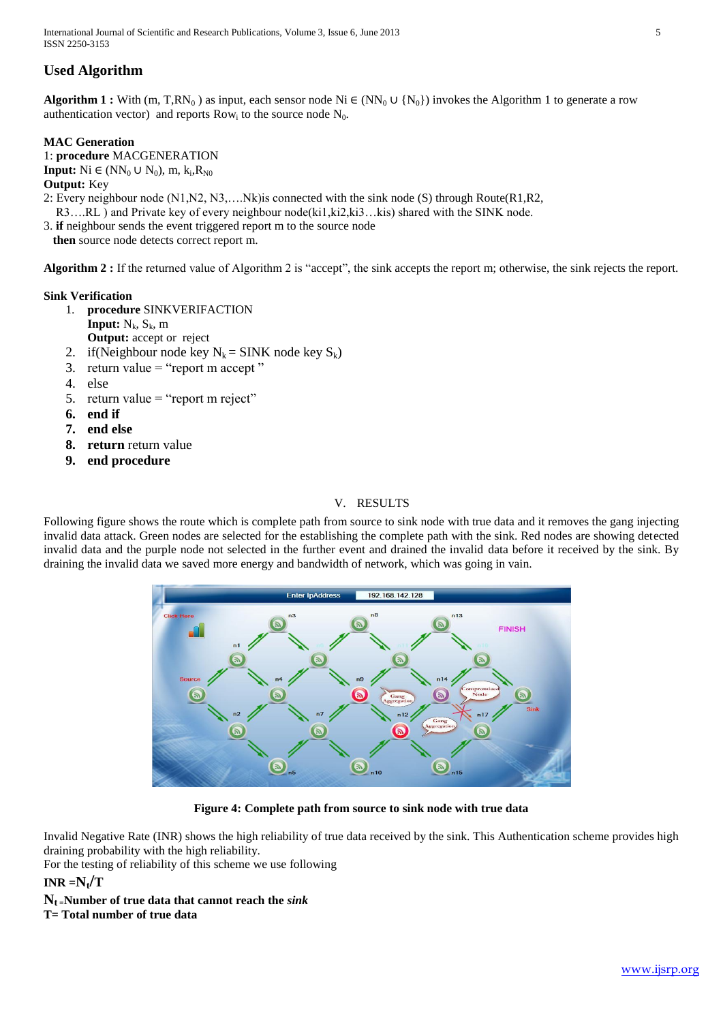International Journal of Scientific and Research Publications, Volume 3, Issue 6, June 2013 5 ISSN 2250-3153

# **Used Algorithm**

**Algorithm 1 :** With (m, T,RN<sub>0</sub>) as input, each sensor node Ni ∈ (NN<sub>0</sub> ∪ {N<sub>0</sub>}) invokes the Algorithm 1 to generate a row authentication vector) and reports  $Row_i$  to the source node  $N_0$ .

## **MAC Generation**

1: **procedure** MACGENERATION **Input:** Ni ∈ (NN<sub>0</sub> ∪ N<sub>0</sub>), m, k<sub>i</sub>, R<sub>N0</sub> **Output:** Key 2: Every neighbour node (N1,N2, N3,….Nk)is connected with the sink node (S) through Route(R1,R2,

R3….RL ) and Private key of every neighbour node(ki1,ki2,ki3…kis) shared with the SINK node.

3. **if** neighbour sends the event triggered report m to the source node

 **then** source node detects correct report m.

**Algorithm 2 :** If the returned value of Algorithm 2 is "accept", the sink accepts the report m; otherwise, the sink rejects the report.

## **Sink Verification**

- 1. **procedure** SINKVERIFACTION
	- **Input:**  $N_k$ ,  $S_k$ , m
- **Output:** accept or reject 2. if (Neighbour node key  $N_k = \text{SINK}$  node key  $S_k$ )
- 3. return value  $=$  "report m accept"
- 4. else
- 5. return value = "report m reject"
- **6. end if**
- **7. end else**
- **8. return** return value
- **9. end procedure**

# V. RESULTS

Following figure shows the route which is complete path from source to sink node with true data and it removes the gang injecting invalid data attack. Green nodes are selected for the establishing the complete path with the sink. Red nodes are showing detected invalid data and the purple node not selected in the further event and drained the invalid data before it received by the sink. By draining the invalid data we saved more energy and bandwidth of network, which was going in vain.



#### **Figure 4: Complete path from source to sink node with true data**

Invalid Negative Rate (INR) shows the high reliability of true data received by the sink. This Authentication scheme provides high draining probability with the high reliability.

For the testing of reliability of this scheme we use following

# $INR = N_t/T$

 $N_t$  **=Number of true data that cannot reach the** *sink* 

# **T= Total number of true data**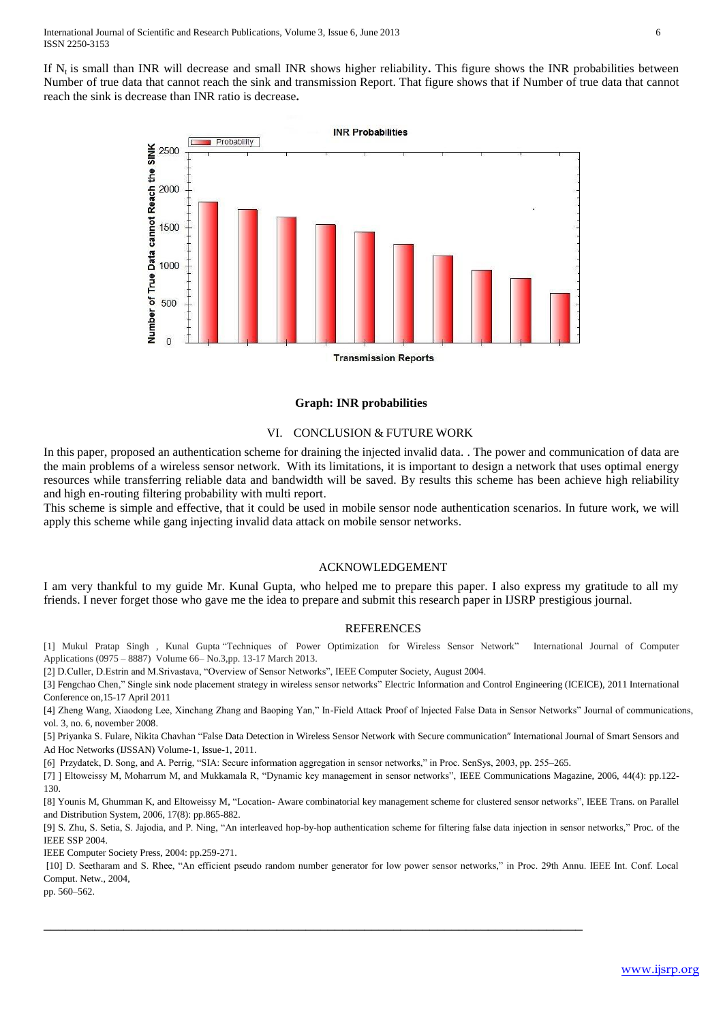If N<sub>t</sub> is small than INR will decrease and small INR shows higher reliability. This figure shows the INR probabilities between Number of true data that cannot reach the sink and transmission Report. That figure shows that if Number of true data that cannot reach the sink is decrease than INR ratio is decrease**.**



#### **Graph: INR probabilities**

#### VI. CONCLUSION & FUTURE WORK

In this paper, proposed an authentication scheme for draining the injected invalid data. . The power and communication of data are the main problems of a wireless sensor network. With its limitations, it is important to design a network that uses optimal energy resources while transferring reliable data and bandwidth will be saved. By results this scheme has been achieve high reliability and high en-routing filtering probability with multi report.

This scheme is simple and effective, that it could be used in mobile sensor node authentication scenarios. In future work, we will apply this scheme while gang injecting invalid data attack on mobile sensor networks.

#### ACKNOWLEDGEMENT

I am very thankful to my guide Mr. Kunal Gupta, who helped me to prepare this paper. I also express my gratitude to all my friends. I never forget those who gave me the idea to prepare and submit this research paper in IJSRP prestigious journal.

#### REFERENCES

[1] Mukul Pratap Singh , Kunal Gupta "Techniques of Power Optimization for Wireless Sensor Network" International Journal of Computer Applications (0975 – 8887) Volume 66– No.3,pp. 13-17 March 2013.

[2] D.Culler, D.Estrin and M.Srivastava, "Overview of Sensor Networks", IEEE Computer Society, August 2004.

[3[\] Fengchao Chen,"](http://ieeexplore.ieee.org/search/searchresult.jsp?searchWithin=p_Authors:.QT.Fengchao%20Chen.QT.&searchWithin=p_Author_Ids:38065572800&newsearch=true) Single sink node placement strategy in wireless sensor networks" [Electric Information and Control Engineering \(ICEICE\),](http://ieeexplore.ieee.org/xpl/mostRecentIssue.jsp?punumber=5766331) 2011 International [Conference on,1](http://ieeexplore.ieee.org/xpl/mostRecentIssue.jsp?punumber=5766331)5-17 April 2011

[4] Zheng Wang, Xiaodong Lee, Xinchang Zhang and Baoping Yan," In-Field Attack Proof of Injected False Data in Sensor Networks" Journal of communications, vol. 3, no. 6, november 2008.

[5] Priyanka S. Fulare, Nikita Chavhan "False Data Detection in Wireless Sensor Network with Secure communication" International Journal of Smart Sensors and Ad Hoc Networks (IJSSAN) Volume-1, Issue-1, 2011.

[6] Przydatek, D. Song, and A. Perrig, "SIA: Secure information aggregation in sensor networks," in Proc. SenSys, 2003, pp. 255–265.

\_\_\_\_\_\_\_\_\_\_\_\_\_\_\_\_\_\_\_\_\_\_\_\_\_\_\_\_\_\_\_\_\_\_\_\_\_\_\_\_\_\_\_\_\_\_\_\_\_\_\_\_\_\_\_\_\_\_\_\_\_\_\_\_\_\_\_\_\_\_\_\_\_\_

[7] ] Eltoweissy M, Moharrum M, and Mukkamala R, "Dynamic key management in sensor networks", IEEE Communications Magazine, 2006, 44(4): pp.122- 130.

[8] Younis M, Ghumman K, and Eltoweissy M, "Location- Aware combinatorial key management scheme for clustered sensor networks", IEEE Trans. on Parallel and Distribution System, 2006, 17(8): pp.865-882.

[9] S. Zhu, S. Setia, S. Jajodia, and P. Ning, "An interleaved hop-by-hop authentication scheme for filtering false data injection in sensor networks," Proc. of the IEEE SSP 2004.

IEEE Computer Society Press, 2004: pp.259-271.

[10] D. Seetharam and S. Rhee, "An efficient pseudo random number generator for low power sensor networks," in Proc. 29th Annu. IEEE Int. Conf. Local Comput. Netw., 2004,

pp. 560–562.